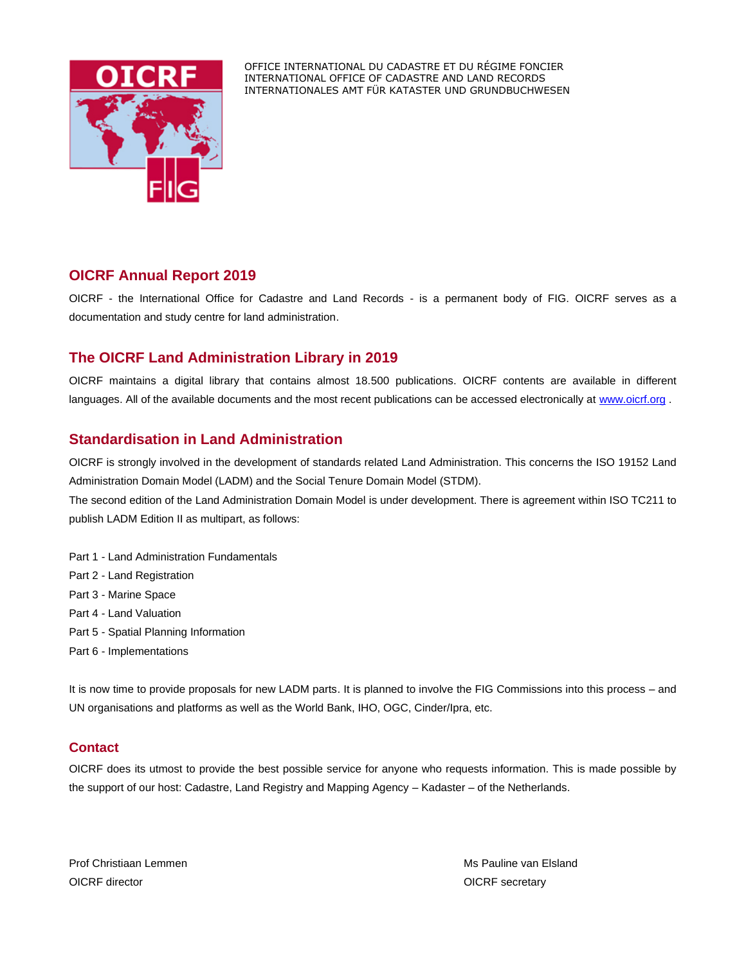

OFFICE INTERNATIONAL DU CADASTRE ET DU RÉGIME FONCIER INTERNATIONAL OFFICE OF CADASTRE AND LAND RECORDS INTERNATIONALES AMT FÜR KATASTER UND GRUNDBUCHWESEN

## **OICRF Annual Report 2019**

OICRF - the International Office for Cadastre and Land Records - is a permanent body of FIG. OICRF serves as a documentation and study centre for land administration.

## **The OICRF Land Administration Library in 2019**

OICRF maintains a digital library that contains almost 18.500 publications. OICRF contents are available in different languages. All of the available documents and the most recent publications can be accessed electronically at [www.oicrf.org](http://www.oicrf.org/).

# **Standardisation in Land Administration**

OICRF is strongly involved in the development of standards related Land Administration. This concerns the ISO 19152 Land Administration Domain Model (LADM) and the Social Tenure Domain Model (STDM).

The second edition of the Land Administration Domain Model is under development. There is agreement within ISO TC211 to publish LADM Edition II as multipart, as follows:

- Part 1 Land Administration Fundamentals
- Part 2 Land Registration
- Part 3 Marine Space
- Part 4 Land Valuation
- Part 5 Spatial Planning Information
- Part 6 Implementations

It is now time to provide proposals for new LADM parts. It is planned to involve the FIG Commissions into this process – and UN organisations and platforms as well as the World Bank, IHO, OGC, Cinder/Ipra, etc.

### **Contact**

OICRF does its utmost to provide the best possible service for anyone who requests information. This is made possible by the support of our host: Cadastre, Land Registry and Mapping Agency – Kadaster – of the Netherlands.

Prof Christiaan Lemmen Ms Pauline van Elsland OICRF director **OICRF** secretary